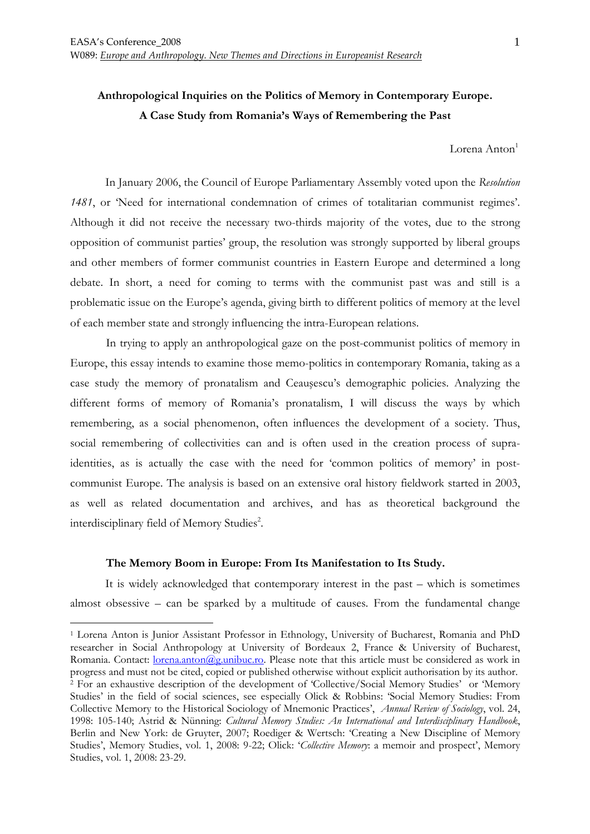# **Anthropological Inquiries on the Politics of Memory in Contemporary Europe. A Case Study from Romania's Ways of Remembering the Past**

Lorena Anton<sup>1</sup>

In January 2006, the Council of Europe Parliamentary Assembly voted upon the *Resolution 1481*, or 'Need for international condemnation of crimes of totalitarian communist regimes'. Although it did not receive the necessary two-thirds majority of the votes, due to the strong opposition of communist parties' group, the resolution was strongly supported by liberal groups and other members of former communist countries in Eastern Europe and determined a long debate. In short, a need for coming to terms with the communist past was and still is a problematic issue on the Europe's agenda, giving birth to different politics of memory at the level of each member state and strongly influencing the intra-European relations.

In trying to apply an anthropological gaze on the post-communist politics of memory in Europe, this essay intends to examine those memo-politics in contemporary Romania, taking as a case study the memory of pronatalism and Ceauşescu's demographic policies. Analyzing the different forms of memory of Romania's pronatalism, I will discuss the ways by which remembering, as a social phenomenon, often influences the development of a society. Thus, social remembering of collectivities can and is often used in the creation process of supraidentities, as is actually the case with the need for 'common politics of memory' in postcommunist Europe. The analysis is based on an extensive oral history fieldwork started in 2003, as well as related documentation and archives, and has as theoretical background the interdisciplinary field of Memory Studies<sup>2</sup>.

### **The Memory Boom in Europe: From Its Manifestation to Its Study.**

 $\overline{a}$ 

 It is widely acknowledged that contemporary interest in the past – which is sometimes almost obsessive – can be sparked by a multitude of causes. From the fundamental change

<sup>&</sup>lt;sup>1</sup> Lorena Anton is Junior Assistant Professor in Ethnology, University of Bucharest, Romania and PhD researcher in Social Anthropology at University of Bordeaux 2, France & University of Bucharest, Romania. Contact: lorena.anton@g.unibuc.ro. Please note that this article must be considered as work in progress and must not be cited, copied or published otherwise without explicit authorisation by its author. 2 For an exhaustive description of the development of 'Collective/Social Memory Studies' or 'Memory Studies' in the field of social sciences, see especially Olick & Robbins: 'Social Memory Studies: From Collective Memory to the Historical Sociology of Mnemonic Practices', *Annual Review of Sociology*, vol. 24, 1998: 105-140; Astrid & Nünning: *Cultural Memory Studies: An International and Interdisciplinary Handbook*, Berlin and New York: de Gruyter, 2007; Roediger & Wertsch: 'Creating a New Discipline of Memory Studies', Memory Studies, vol. 1, 2008: 9-22; Olick: '*Collective Memory*: a memoir and prospect', Memory Studies, vol. 1, 2008: 23-29.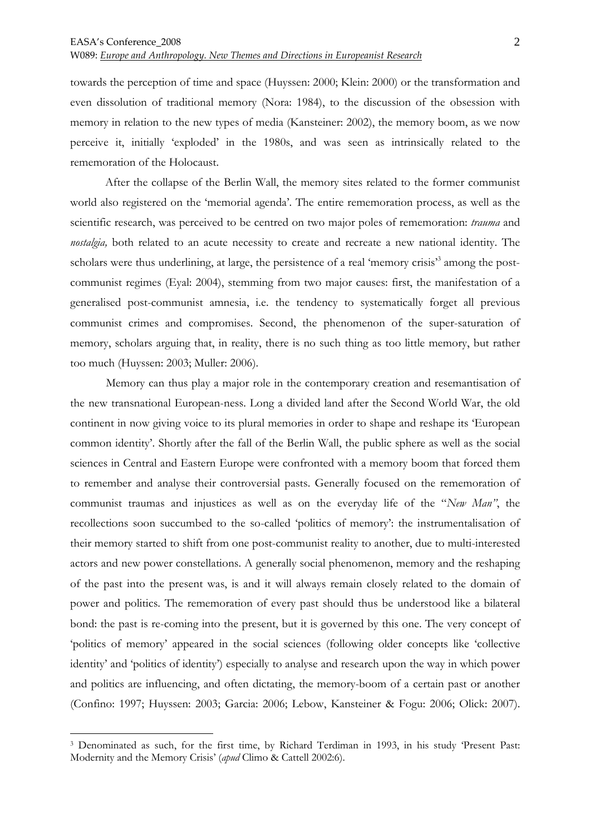towards the perception of time and space (Huyssen: 2000; Klein: 2000) or the transformation and even dissolution of traditional memory (Nora: 1984), to the discussion of the obsession with memory in relation to the new types of media (Kansteiner: 2002), the memory boom, as we now perceive it, initially 'exploded' in the 1980s, and was seen as intrinsically related to the rememoration of the Holocaust.

 After the collapse of the Berlin Wall, the memory sites related to the former communist world also registered on the 'memorial agenda'. The entire rememoration process, as well as the scientific research, was perceived to be centred on two major poles of rememoration: *trauma* and *nostalgia,* both related to an acute necessity to create and recreate a new national identity. The scholars were thus underlining, at large, the persistence of a real 'memory crisis'<sup>3</sup> among the postcommunist regimes (Eyal: 2004), stemming from two major causes: first, the manifestation of a generalised post-communist amnesia, i.e. the tendency to systematically forget all previous communist crimes and compromises. Second, the phenomenon of the super-saturation of memory, scholars arguing that, in reality, there is no such thing as too little memory, but rather too much (Huyssen: 2003; Muller: 2006).

Memory can thus play a major role in the contemporary creation and resemantisation of the new transnational European-ness. Long a divided land after the Second World War, the old continent in now giving voice to its plural memories in order to shape and reshape its 'European common identity'. Shortly after the fall of the Berlin Wall, the public sphere as well as the social sciences in Central and Eastern Europe were confronted with a memory boom that forced them to remember and analyse their controversial pasts. Generally focused on the rememoration of communist traumas and injustices as well as on the everyday life of the "*New Man"*, the recollections soon succumbed to the so-called 'politics of memory': the instrumentalisation of their memory started to shift from one post-communist reality to another, due to multi-interested actors and new power constellations. A generally social phenomenon, memory and the reshaping of the past into the present was, is and it will always remain closely related to the domain of power and politics. The rememoration of every past should thus be understood like a bilateral bond: the past is re-coming into the present, but it is governed by this one. The very concept of 'politics of memory' appeared in the social sciences (following older concepts like 'collective identity' and 'politics of identity') especially to analyse and research upon the way in which power and politics are influencing, and often dictating, the memory-boom of a certain past or another (Confino: 1997; Huyssen: 2003; Garcia: 2006; Lebow, Kansteiner & Fogu: 2006; Olick: 2007).

<sup>3</sup> Denominated as such, for the first time, by Richard Terdiman in 1993, in his study 'Present Past: Modernity and the Memory Crisis' (*apud* Climo & Cattell 2002:6).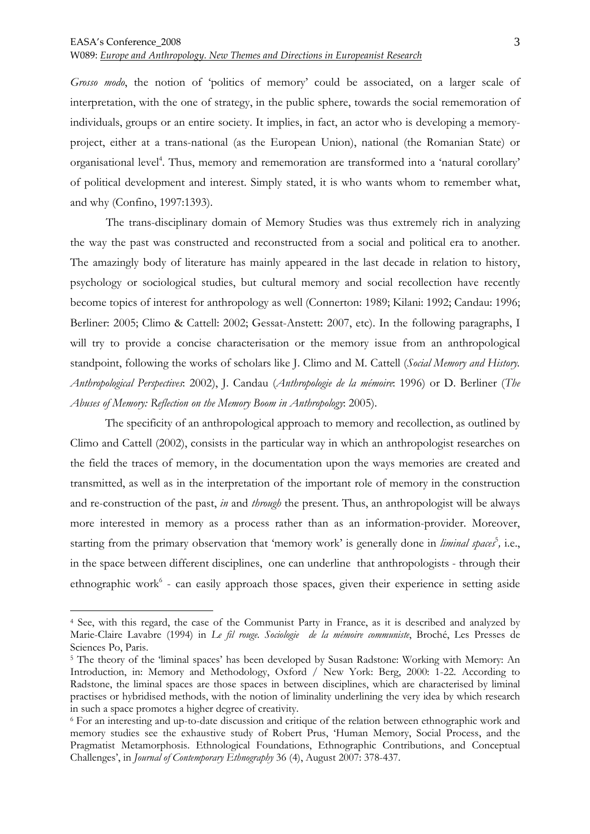$\overline{a}$ 

W089: *Europe and Anthropology. New Themes and Directions in Europeanist Research*

*Grosso modo*, the notion of 'politics of memory' could be associated, on a larger scale of interpretation, with the one of strategy, in the public sphere, towards the social rememoration of individuals, groups or an entire society. It implies, in fact, an actor who is developing a memoryproject, either at a trans-national (as the European Union), national (the Romanian State) or organisational level<sup>4</sup>. Thus, memory and rememoration are transformed into a 'natural corollary' of political development and interest. Simply stated, it is who wants whom to remember what, and why (Confino, 1997:1393).

The trans-disciplinary domain of Memory Studies was thus extremely rich in analyzing the way the past was constructed and reconstructed from a social and political era to another. The amazingly body of literature has mainly appeared in the last decade in relation to history, psychology or sociological studies, but cultural memory and social recollection have recently become topics of interest for anthropology as well (Connerton: 1989; Kilani: 1992; Candau: 1996; Berliner: 2005; Climo & Cattell: 2002; Gessat-Anstett: 2007, etc). In the following paragraphs, I will try to provide a concise characterisation or the memory issue from an anthropological standpoint, following the works of scholars like J. Climo and M. Cattell (*Social Memory and History. Anthropological Perspectives*: 2002), J. Candau (*Anthropologie de la mémoire*: 1996) or D. Berliner (*The Abuses of Memory: Reflection on the Memory Boom in Anthropology*: 2005).

 The specificity of an anthropological approach to memory and recollection, as outlined by Climo and Cattell (2002), consists in the particular way in which an anthropologist researches on the field the traces of memory, in the documentation upon the ways memories are created and transmitted, as well as in the interpretation of the important role of memory in the construction and re-construction of the past, *in* and *through* the present. Thus, an anthropologist will be always more interested in memory as a process rather than as an information-provider. Moreover, starting from the primary observation that 'memory work' is generally done in *liminal spaces*<sup>5</sup>, i.e., in the space between different disciplines, one can underline that anthropologists - through their ethnographic work<sup>6</sup> - can easily approach those spaces, given their experience in setting aside

<sup>4</sup> See, with this regard, the case of the Communist Party in France, as it is described and analyzed by Marie-Claire Lavabre (1994) in *Le fil rouge. Sociologie de la mémoire communiste*, Broché, Les Presses de Sciences Po, Paris.

<sup>&</sup>lt;sup>5</sup> The theory of the 'liminal spaces' has been developed by Susan Radstone: Working with Memory: An Introduction, in: Memory and Methodology, Oxford / New York: Berg, 2000: 1-22. According to Radstone, the liminal spaces are those spaces in between disciplines, which are characterised by liminal practises or hybridised methods, with the notion of liminality underlining the very idea by which research in such a space promotes a higher degree of creativity.

<sup>6</sup> For an interesting and up-to-date discussion and critique of the relation between ethnographic work and memory studies see the exhaustive study of Robert Prus, 'Human Memory, Social Process, and the Pragmatist Metamorphosis. Ethnological Foundations, Ethnographic Contributions, and Conceptual Challenges', in *Journal of Contemporary Ethnography* 36 (4), August 2007: 378-437.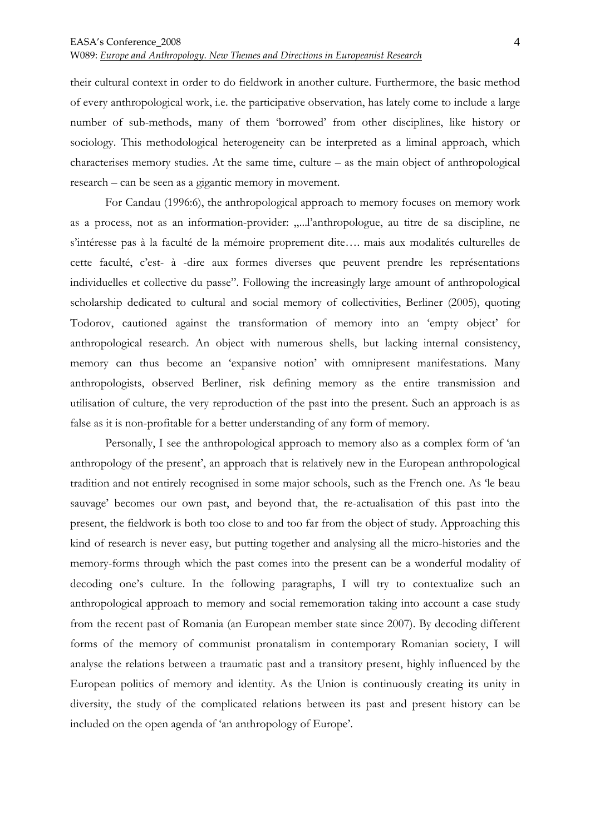their cultural context in order to do fieldwork in another culture. Furthermore, the basic method of every anthropological work, i.e. the participative observation, has lately come to include a large number of sub-methods, many of them 'borrowed' from other disciplines, like history or sociology. This methodological heterogeneity can be interpreted as a liminal approach, which characterises memory studies. At the same time, culture – as the main object of anthropological research – can be seen as a gigantic memory in movement.

 For Candau (1996:6), the anthropological approach to memory focuses on memory work as a process, not as an information-provider: .....l'anthropologue, au titre de sa discipline, ne s'intéresse pas à la faculté de la mémoire proprement dite…. mais aux modalités culturelles de cette faculté, c'est- à -dire aux formes diverses que peuvent prendre les représentations individuelles et collective du passe". Following the increasingly large amount of anthropological scholarship dedicated to cultural and social memory of collectivities, Berliner (2005), quoting Todorov, cautioned against the transformation of memory into an 'empty object' for anthropological research. An object with numerous shells, but lacking internal consistency, memory can thus become an 'expansive notion' with omnipresent manifestations. Many anthropologists, observed Berliner, risk defining memory as the entire transmission and utilisation of culture, the very reproduction of the past into the present. Such an approach is as false as it is non-profitable for a better understanding of any form of memory.

 Personally, I see the anthropological approach to memory also as a complex form of 'an anthropology of the present', an approach that is relatively new in the European anthropological tradition and not entirely recognised in some major schools, such as the French one. As 'le beau sauvage' becomes our own past, and beyond that, the re-actualisation of this past into the present, the fieldwork is both too close to and too far from the object of study. Approaching this kind of research is never easy, but putting together and analysing all the micro-histories and the memory-forms through which the past comes into the present can be a wonderful modality of decoding one's culture. In the following paragraphs, I will try to contextualize such an anthropological approach to memory and social rememoration taking into account a case study from the recent past of Romania (an European member state since 2007). By decoding different forms of the memory of communist pronatalism in contemporary Romanian society, I will analyse the relations between a traumatic past and a transitory present, highly influenced by the European politics of memory and identity. As the Union is continuously creating its unity in diversity, the study of the complicated relations between its past and present history can be included on the open agenda of 'an anthropology of Europe'.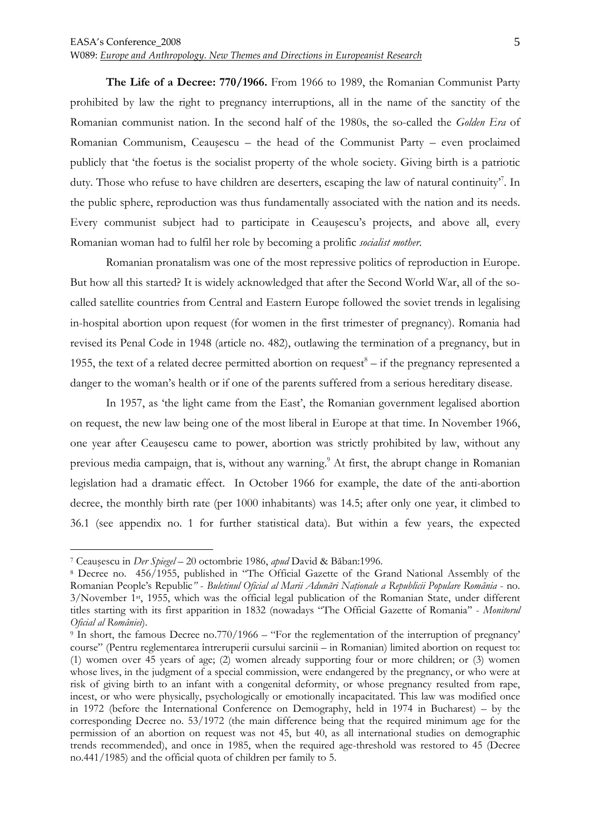**The Life of a Decree: 770/1966.** From 1966 to 1989, the Romanian Communist Party prohibited by law the right to pregnancy interruptions, all in the name of the sanctity of the Romanian communist nation. In the second half of the 1980s, the so-called the *Golden Era* of Romanian Communism, Ceauşescu – the head of the Communist Party – even proclaimed publicly that 'the foetus is the socialist property of the whole society. Giving birth is a patriotic duty. Those who refuse to have children are deserters, escaping the law of natural continuity<sup>7</sup>. In the public sphere, reproduction was thus fundamentally associated with the nation and its needs. Every communist subject had to participate in Ceauşescu's projects, and above all, every Romanian woman had to fulfil her role by becoming a prolific *socialist mother*.

Romanian pronatalism was one of the most repressive politics of reproduction in Europe. But how all this started? It is widely acknowledged that after the Second World War, all of the socalled satellite countries from Central and Eastern Europe followed the soviet trends in legalising in-hospital abortion upon request (for women in the first trimester of pregnancy). Romania had revised its Penal Code in 1948 (article no. 482), outlawing the termination of a pregnancy, but in 1955, the text of a related decree permitted abortion on request $^8$  – if the pregnancy represented a danger to the woman's health or if one of the parents suffered from a serious hereditary disease.

In 1957, as 'the light came from the East', the Romanian government legalised abortion on request, the new law being one of the most liberal in Europe at that time. In November 1966, one year after Ceauşescu came to power, abortion was strictly prohibited by law, without any previous media campaign, that is, without any warning. 9 At first, the abrupt change in Romanian legislation had a dramatic effect. In October 1966 for example, the date of the anti-abortion decree, the monthly birth rate (per 1000 inhabitants) was 14.5; after only one year, it climbed to 36.1 (see appendix no. 1 for further statistical data). But within a few years, the expected

<sup>7</sup> Ceauşescu in *Der Spiegel* – 20 octombrie 1986, *apud* David & Băban:1996.

<sup>8</sup> Decree no. 456/1955, published in "The Official Gazette of the Grand National Assembly of the Romanian People's Republic<sup>*"*</sup> - *Buletinul Oficial al Marii Adunări Nationale a Republicii Populare România* - no. 3/November 1st, 1955, which was the official legal publication of the Romanian State, under different titles starting with its first apparition in 1832 (nowadays "The Official Gazette of Romania'' - *Monitorul Oficial al României*).

<sup>9</sup> In short, the famous Decree no.770/1966 – "For the reglementation of the interruption of pregnancy' course" (Pentru reglementarea întreruperii cursului sarcinii – in Romanian) limited abortion on request to: (1) women over 45 years of age; (2) women already supporting four or more children; or (3) women whose lives, in the judgment of a special commission, were endangered by the pregnancy, or who were at risk of giving birth to an infant with a congenital deformity, or whose pregnancy resulted from rape, incest, or who were physically, psychologically or emotionally incapacitated. This law was modified once in 1972 (before the International Conference on Demography, held in 1974 in Bucharest) – by the corresponding Decree no. 53/1972 (the main difference being that the required minimum age for the permission of an abortion on request was not 45, but 40, as all international studies on demographic trends recommended), and once in 1985, when the required age-threshold was restored to 45 (Decree no.441/1985) and the official quota of children per family to 5.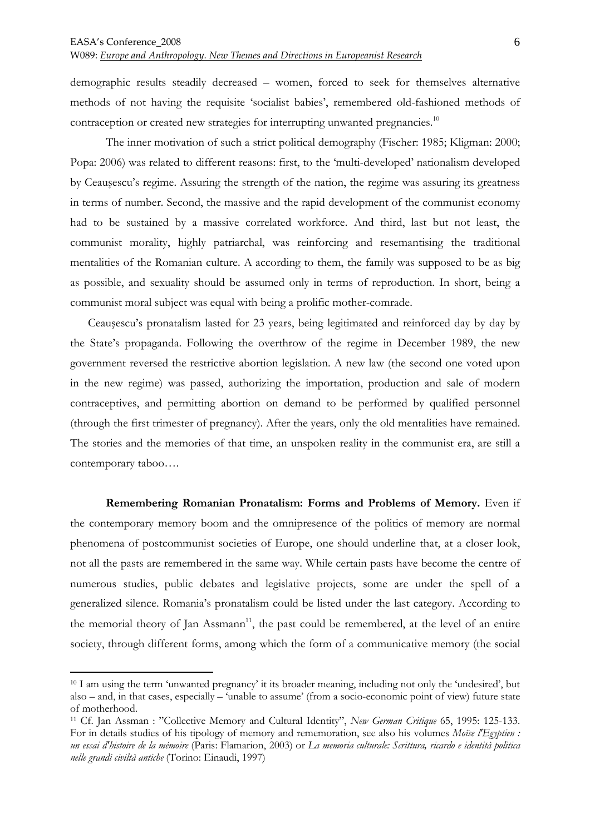$\overline{a}$ 

W089: *Europe and Anthropology. New Themes and Directions in Europeanist Research*

demographic results steadily decreased – women, forced to seek for themselves alternative methods of not having the requisite 'socialist babies', remembered old-fashioned methods of contraception or created new strategies for interrupting unwanted pregnancies.<sup>10</sup>

The inner motivation of such a strict political demography (Fischer: 1985; Kligman: 2000; Popa: 2006) was related to different reasons: first, to the 'multi-developed' nationalism developed by Ceauşescu's regime. Assuring the strength of the nation, the regime was assuring its greatness in terms of number. Second, the massive and the rapid development of the communist economy had to be sustained by a massive correlated workforce. And third, last but not least, the communist morality, highly patriarchal, was reinforcing and resemantising the traditional mentalities of the Romanian culture. A according to them, the family was supposed to be as big as possible, and sexuality should be assumed only in terms of reproduction. In short, being a communist moral subject was equal with being a prolific mother-comrade.

Ceauşescu's pronatalism lasted for 23 years, being legitimated and reinforced day by day by the State's propaganda. Following the overthrow of the regime in December 1989, the new government reversed the restrictive abortion legislation. A new law (the second one voted upon in the new regime) was passed, authorizing the importation, production and sale of modern contraceptives, and permitting abortion on demand to be performed by qualified personnel (through the first trimester of pregnancy). After the years, only the old mentalities have remained. The stories and the memories of that time, an unspoken reality in the communist era, are still a contemporary taboo….

**Remembering Romanian Pronatalism: Forms and Problems of Memory.** Even if the contemporary memory boom and the omnipresence of the politics of memory are normal phenomena of postcommunist societies of Europe, one should underline that, at a closer look, not all the pasts are remembered in the same way. While certain pasts have become the centre of numerous studies, public debates and legislative projects, some are under the spell of a generalized silence. Romania's pronatalism could be listed under the last category. According to the memorial theory of Jan Assmann<sup>11</sup>, the past could be remembered, at the level of an entire society, through different forms, among which the form of a communicative memory (the social

<sup>10</sup> I am using the term 'unwanted pregnancy' it its broader meaning, including not only the 'undesired', but also – and, in that cases, especially – 'unable to assume' (from a socio-economic point of view) future state of motherhood.

<sup>11</sup> Cf. Jan Assman : "Collective Memory and Cultural Identity", *New German Critique* 65, 1995: 125-133. For in details studies of his tipology of memory and rememoration, see also his volumes *Moïse l'Egyptien : un essai d'histoire de la mémoire* (Paris: Flamarion, 2003) or *La memoria culturale: Scrittura, ricardo e identità politica nelle grandi civiltà antiche* (Torino: Einaudi, 1997)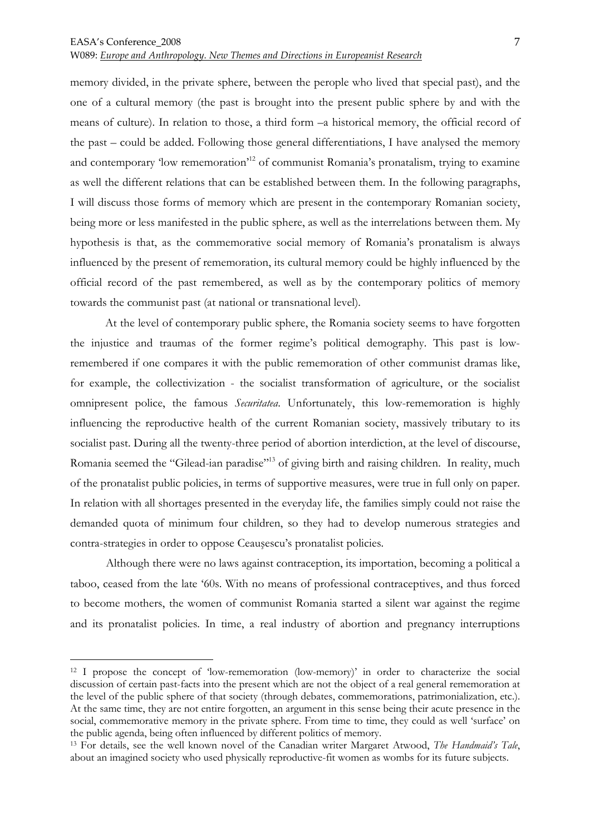memory divided, in the private sphere, between the perople who lived that special past), and the one of a cultural memory (the past is brought into the present public sphere by and with the means of culture). In relation to those, a third form –a historical memory, the official record of the past – could be added. Following those general differentiations, I have analysed the memory and contemporary 'low rememoration'<sup>12</sup> of communist Romania's pronatalism, trying to examine as well the different relations that can be established between them. In the following paragraphs, I will discuss those forms of memory which are present in the contemporary Romanian society, being more or less manifested in the public sphere, as well as the interrelations between them. My hypothesis is that, as the commemorative social memory of Romania's pronatalism is always influenced by the present of rememoration, its cultural memory could be highly influenced by the official record of the past remembered, as well as by the contemporary politics of memory towards the communist past (at national or transnational level).

At the level of contemporary public sphere, the Romania society seems to have forgotten the injustice and traumas of the former regime's political demography. This past is lowremembered if one compares it with the public rememoration of other communist dramas like, for example, the collectivization - the socialist transformation of agriculture, or the socialist omnipresent police, the famous *Securitatea*. Unfortunately, this low-rememoration is highly influencing the reproductive health of the current Romanian society, massively tributary to its socialist past. During all the twenty-three period of abortion interdiction, at the level of discourse, Romania seemed the "Gilead-ian paradise"<sup>13</sup> of giving birth and raising children. In reality, much of the pronatalist public policies, in terms of supportive measures, were true in full only on paper. In relation with all shortages presented in the everyday life, the families simply could not raise the demanded quota of minimum four children, so they had to develop numerous strategies and contra-strategies in order to oppose Ceauşescu's pronatalist policies.

Although there were no laws against contraception, its importation, becoming a political a taboo, ceased from the late '60s. With no means of professional contraceptives, and thus forced to become mothers, the women of communist Romania started a silent war against the regime and its pronatalist policies. In time, a real industry of abortion and pregnancy interruptions

<sup>&</sup>lt;sup>12</sup> I propose the concept of 'low-rememoration (low-memory)' in order to characterize the social discussion of certain past-facts into the present which are not the object of a real general rememoration at the level of the public sphere of that society (through debates, commemorations, patrimonialization, etc.). At the same time, they are not entire forgotten, an argument in this sense being their acute presence in the social, commemorative memory in the private sphere. From time to time, they could as well 'surface' on the public agenda, being often influenced by different politics of memory.

<sup>13</sup> For details, see the well known novel of the Canadian writer Margaret Atwood, *The Handmaid's Tale*, about an imagined society who used physically reproductive-fit women as wombs for its future subjects.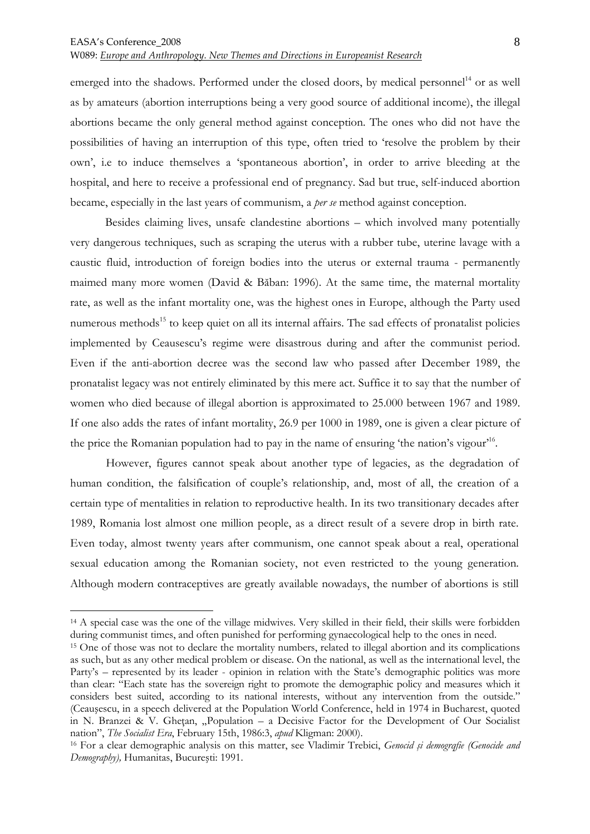emerged into the shadows. Performed under the closed doors, by medical personnel<sup>14</sup> or as well as by amateurs (abortion interruptions being a very good source of additional income), the illegal abortions became the only general method against conception. The ones who did not have the possibilities of having an interruption of this type, often tried to 'resolve the problem by their own', i.e to induce themselves a 'spontaneous abortion', in order to arrive bleeding at the hospital, and here to receive a professional end of pregnancy. Sad but true, self-induced abortion became, especially in the last years of communism, a *per se* method against conception.

 Besides claiming lives, unsafe clandestine abortions – which involved many potentially very dangerous techniques, such as scraping the uterus with a rubber tube, uterine lavage with a caustic fluid, introduction of foreign bodies into the uterus or external trauma - permanently maimed many more women (David & Băban: 1996). At the same time, the maternal mortality rate, as well as the infant mortality one, was the highest ones in Europe, although the Party used numerous methods<sup>15</sup> to keep quiet on all its internal affairs. The sad effects of pronatalist policies implemented by Ceausescu's regime were disastrous during and after the communist period. Even if the anti-abortion decree was the second law who passed after December 1989, the pronatalist legacy was not entirely eliminated by this mere act. Suffice it to say that the number of women who died because of illegal abortion is approximated to 25.000 between 1967 and 1989. If one also adds the rates of infant mortality, 26.9 per 1000 in 1989, one is given a clear picture of the price the Romanian population had to pay in the name of ensuring 'the nation's vigour'<sup>16</sup>.

However, figures cannot speak about another type of legacies, as the degradation of human condition, the falsification of couple's relationship, and, most of all, the creation of a certain type of mentalities in relation to reproductive health. In its two transitionary decades after 1989, Romania lost almost one million people, as a direct result of a severe drop in birth rate. Even today, almost twenty years after communism, one cannot speak about a real, operational sexual education among the Romanian society, not even restricted to the young generation. Although modern contraceptives are greatly available nowadays, the number of abortions is still

<sup>14</sup> A special case was the one of the village midwives. Very skilled in their field, their skills were forbidden during communist times, and often punished for performing gynaecological help to the ones in need.

<sup>15</sup> One of those was not to declare the mortality numbers, related to illegal abortion and its complications as such, but as any other medical problem or disease. On the national, as well as the international level, the Party's – represented by its leader - opinion in relation with the State's demographic politics was more than clear: "Each state has the sovereign right to promote the demographic policy and measures which it considers best suited, according to its national interests, without any intervention from the outside." (Ceauşescu, in a speech delivered at the Population World Conference, held in 1974 in Bucharest, quoted in N. Branzei & V. Ghetan, "Population – a Decisive Factor for the Development of Our Socialist nation", *The Socialist Era*, February 15th, 1986:3, *apud* Kligman: 2000).

<sup>16</sup> For a clear demographic analysis on this matter, see Vladimir Trebici, *Genocid şi demogrqfie (Genocide and Demography),* Humanitas, Bucureşti: 1991.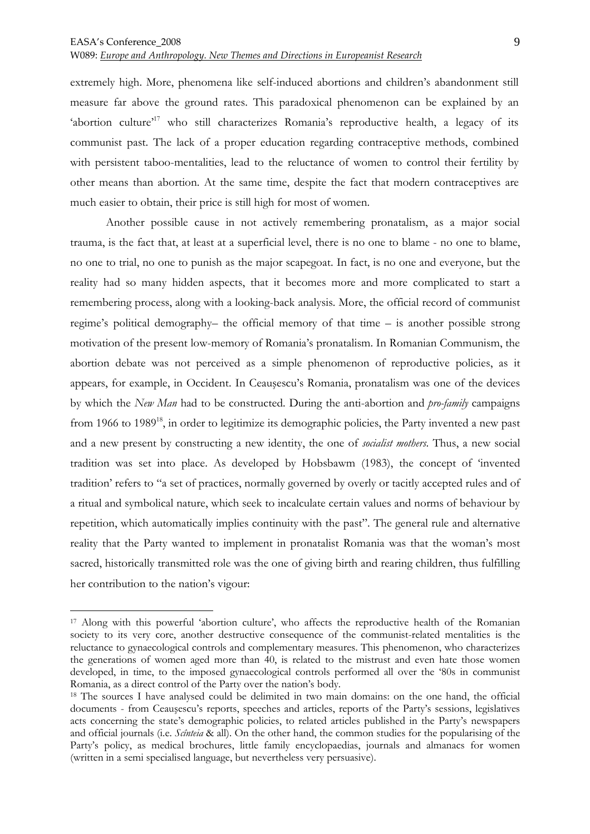$\overline{a}$ 

W089: *Europe and Anthropology. New Themes and Directions in Europeanist Research*

extremely high. More, phenomena like self-induced abortions and children's abandonment still measure far above the ground rates. This paradoxical phenomenon can be explained by an 'abortion culture'<sup>17</sup> who still characterizes Romania's reproductive health, a legacy of its communist past. The lack of a proper education regarding contraceptive methods, combined with persistent taboo-mentalities, lead to the reluctance of women to control their fertility by other means than abortion. At the same time, despite the fact that modern contraceptives are much easier to obtain, their price is still high for most of women.

Another possible cause in not actively remembering pronatalism, as a major social trauma, is the fact that, at least at a superficial level, there is no one to blame - no one to blame, no one to trial, no one to punish as the major scapegoat. In fact, is no one and everyone, but the reality had so many hidden aspects, that it becomes more and more complicated to start a remembering process, along with a looking-back analysis. More, the official record of communist regime's political demography– the official memory of that time – is another possible strong motivation of the present low-memory of Romania's pronatalism. In Romanian Communism, the abortion debate was not perceived as a simple phenomenon of reproductive policies, as it appears, for example, in Occident. In Ceauşescu's Romania, pronatalism was one of the devices by which the *New Man* had to be constructed. During the anti-abortion and *pro-family* campaigns from 1966 to 1989<sup>18</sup>, in order to legitimize its demographic policies, the Party invented a new past and a new present by constructing a new identity, the one of *socialist mothers*. Thus, a new social tradition was set into place. As developed by Hobsbawm (1983), the concept of 'invented tradition' refers to "a set of practices, normally governed by overly or tacitly accepted rules and of a ritual and symbolical nature, which seek to incalculate certain values and norms of behaviour by repetition, which automatically implies continuity with the past". The general rule and alternative reality that the Party wanted to implement in pronatalist Romania was that the woman's most sacred, historically transmitted role was the one of giving birth and rearing children, thus fulfilling her contribution to the nation's vigour:

<sup>17</sup> Along with this powerful 'abortion culture', who affects the reproductive health of the Romanian society to its very core, another destructive consequence of the communist-related mentalities is the reluctance to gynaecological controls and complementary measures. This phenomenon, who characterizes the generations of women aged more than 40, is related to the mistrust and even hate those women developed, in time, to the imposed gynaecological controls performed all over the '80s in communist Romania, as a direct control of the Party over the nation's body.

<sup>&</sup>lt;sup>18</sup> The sources I have analysed could be delimited in two main domains: on the one hand, the official documents - from Ceauşescu's reports, speeches and articles, reports of the Party's sessions, legislatives acts concerning the state's demographic policies, to related articles published in the Party's newspapers and official journals (i.e. *Scînteia* & all). On the other hand, the common studies for the popularising of the Party's policy, as medical brochures, little family encyclopaedias, journals and almanacs for women (written in a semi specialised language, but nevertheless very persuasive).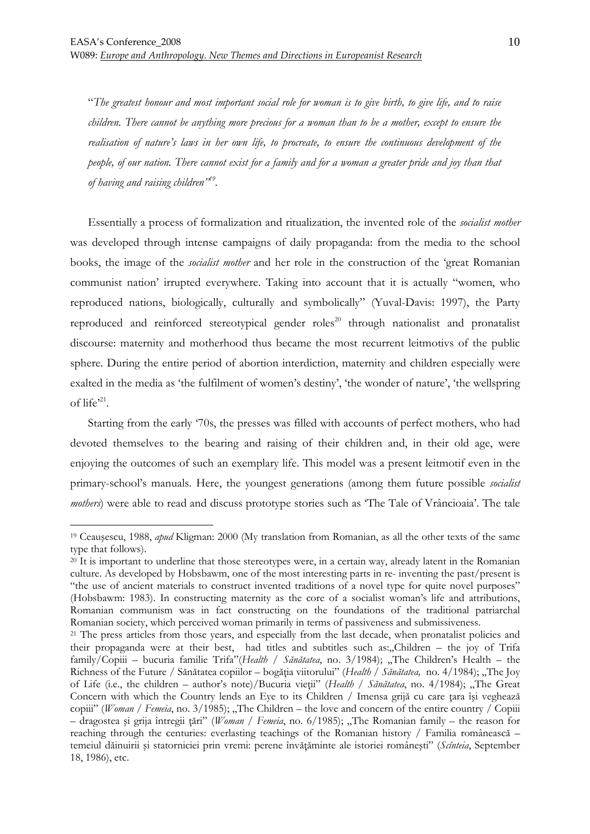"*The greatest honour and most important social role for woman is to give birth, to give life, and to raise children. There cannot be anything more precious for a woman than to be a mother, except to ensure the realisation of nature's laws in her own life, to procreate, to ensure the continuous development of the people, of our nation. There cannot exist for a family and for a woman a greater pride and joy than that of having and raising children"<sup>19</sup> .* 

Essentially a process of formalization and ritualization, the invented role of the *socialist mother* was developed through intense campaigns of daily propaganda: from the media to the school books, the image of the *socialist mother* and her role in the construction of the 'great Romanian communist nation' irrupted everywhere. Taking into account that it is actually "women, who reproduced nations, biologically, culturally and symbolically" (Yuval-Davis: 1997), the Party reproduced and reinforced stereotypical gender roles <sup>20</sup> through nationalist and pronatalist discourse: maternity and motherhood thus became the most recurrent leitmotivs of the public sphere. During the entire period of abortion interdiction, maternity and children especially were exalted in the media as 'the fulfilment of women's destiny', 'the wonder of nature', 'the wellspring of  $life^{21}$ .

Starting from the early '70s, the presses was filled with accounts of perfect mothers, who had devoted themselves to the bearing and raising of their children and, in their old age, were enjoying the outcomes of such an exemplary life. This model was a present leitmotif even in the primary-school's manuals. Here, the youngest generations (among them future possible *socialist mothers*) were able to read and discuss prototype stories such as 'The Tale of Vrâncioaia'. The tale

<sup>19</sup> Ceauşescu, 1988, *apud* Kligman: 2000 (My translation from Romanian, as all the other texts of the same type that follows).

 $^{20}$  It is important to underline that those stereotypes were, in a certain way, already latent in the Romanian culture. As developed by Hobsbawm, one of the most interesting parts in re- inventing the past/present is "the use of ancient materials to construct invented traditions of a novel type for quite novel purposes" (Hobsbawm: 1983). In constructing maternity as the core of a socialist woman's life and attributions, Romanian communism was in fact constructing on the foundations of the traditional patriarchal Romanian society, which perceived woman primarily in terms of passiveness and submissiveness.

<sup>&</sup>lt;sup>21</sup> The press articles from those years, and especially from the last decade, when pronatalist policies and their propaganda were at their best, had titles and subtitles such as:"Children – the joy of Trifa family/Copiii – bucuria familie Trifa"(*Health* / *Sănătatea*, no. 3/1984); "The Children's Health – the Richness of the Future / Sănătatea copiilor – bogăția viitorului" (*Health* / *Sănătatea*, no. 4/1984); "The Joy of Life (i.e., the children – author's note)/Bucuria vieții" (*Health / Sănătatea*, no. 4/1984); "The Great Concern with which the Country lends an Eye to its Children / Imensa grijă cu care țara își veghează copiii" (*Woman | Femeia*, no. 3/1985); "The Children – the love and concern of the entire country / Copiii – dragostea și grija întregii țări" (*Woman | Femeia*, no. 6/1985); "The Romanian family – the reason for reaching through the centuries: everlasting teachings of the Romanian history / Familia românească – temeiul dăinuirii și statorniciei prin vremi: perene învățăminte ale istoriei românești" (*Scînteia*, September 18, 1986), etc.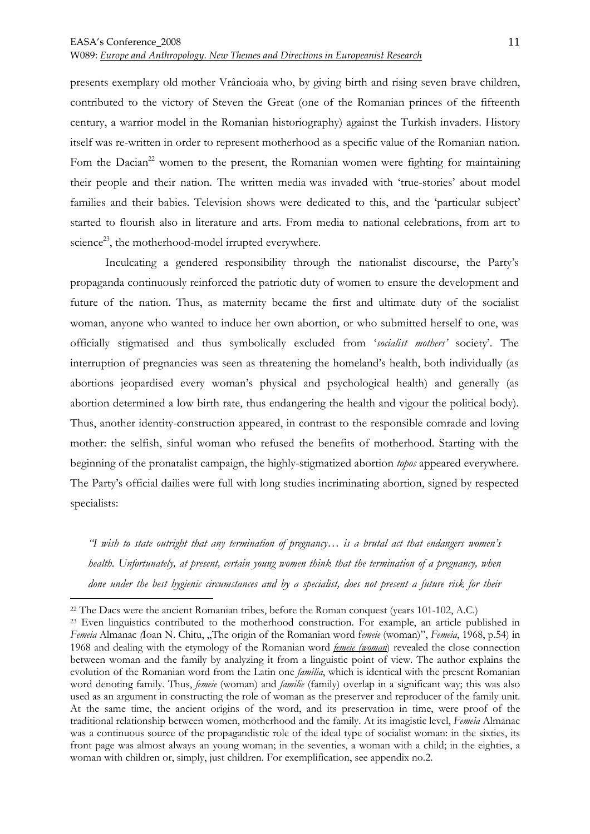presents exemplary old mother Vrâncioaia who, by giving birth and rising seven brave children, contributed to the victory of Steven the Great (one of the Romanian princes of the fifteenth century, a warrior model in the Romanian historiography) against the Turkish invaders. History itself was re-written in order to represent motherhood as a specific value of the Romanian nation. Fom the Dacian<sup>22</sup> women to the present, the Romanian women were fighting for maintaining their people and their nation. The written media was invaded with 'true-stories' about model families and their babies. Television shows were dedicated to this, and the 'particular subject' started to flourish also in literature and arts. From media to national celebrations, from art to science<sup>23</sup>, the motherhood-model irrupted everywhere.

 Inculcating a gendered responsibility through the nationalist discourse, the Party's propaganda continuously reinforced the patriotic duty of women to ensure the development and future of the nation. Thus, as maternity became the first and ultimate duty of the socialist woman, anyone who wanted to induce her own abortion, or who submitted herself to one, was officially stigmatised and thus symbolically excluded from '*socialist mothers'* society'. The interruption of pregnancies was seen as threatening the homeland's health, both individually (as abortions jeopardised every woman's physical and psychological health) and generally (as abortion determined a low birth rate, thus endangering the health and vigour the political body). Thus, another identity-construction appeared, in contrast to the responsible comrade and loving mother: the selfish, sinful woman who refused the benefits of motherhood. Starting with the beginning of the pronatalist campaign, the highly-stigmatized abortion *topos* appeared everywhere. The Party's official dailies were full with long studies incriminating abortion, signed by respected specialists:

*"I wish to state outright that any termination of pregnancy… is a brutal act that endangers women's health. Unfortunately, at present, certain young women think that the termination of a pregnancy, when done under the best hygienic circumstances and by a specialist, does not present a future risk for their* 

<sup>22</sup> The Dacs were the ancient Romanian tribes, before the Roman conquest (years 101-102, A.C.)

<sup>&</sup>lt;sup>23</sup> Even linguistics contributed to the motherhood construction. For example, an article published in *Femeia* Almanac *(Ioan N. Chitu, "The origin of the Romanian word femeie (woman)", <i>Femeia*, 1968, p.54) in 1968 and dealing with the etymology of the Romanian word *femeie (woman*) revealed the close connection between woman and the family by analyzing it from a linguistic point of view. The author explains the evolution of the Romanian word from the Latin one *familia*, which is identical with the present Romanian word denoting family. Thus, *femeie* (woman) and *familie* (family) overlap in a significant way; this was also used as an argument in constructing the role of woman as the preserver and reproducer of the family unit. At the same time, the ancient origins of the word, and its preservation in time, were proof of the traditional relationship between women, motherhood and the family. At its imagistic level, *Femeia* Almanac was a continuous source of the propagandistic role of the ideal type of socialist woman: in the sixties, its front page was almost always an young woman; in the seventies, a woman with a child; in the eighties, a woman with children or, simply, just children. For exemplification, see appendix no.2.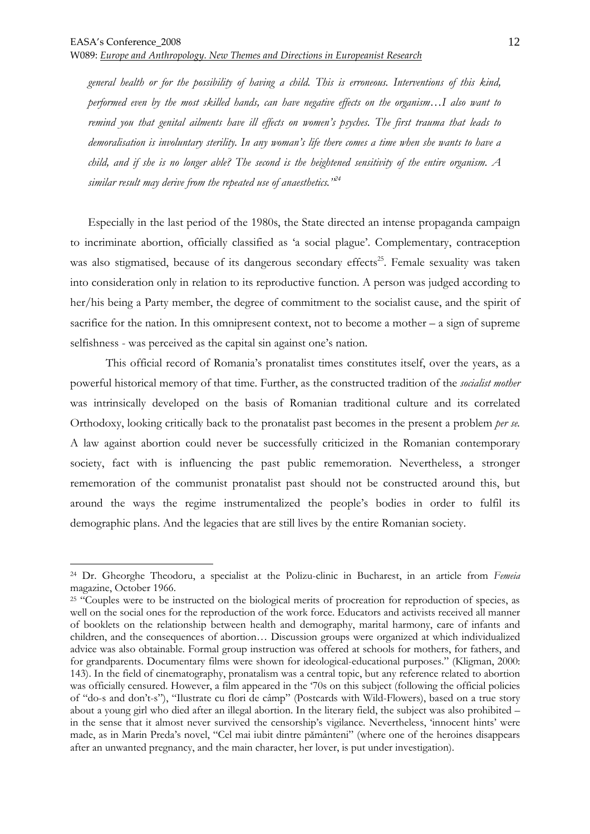*general health or for the possibility of having a child. This is erroneous. Interventions of this kind, performed even by the most skilled hands, can have negative effects on the organism…I also want to remind you that genital ailments have ill effects on women's psyches. The first trauma that leads to demoralisation is involuntary sterility. In any woman's life there comes a time when she wants to have a child, and if she is no longer able? The second is the heightened sensitivity of the entire organism. A similar result may derive from the repeated use of anaesthetics."<sup>24</sup>*

Especially in the last period of the 1980s, the State directed an intense propaganda campaign to incriminate abortion, officially classified as 'a social plague'. Complementary, contraception was also stigmatised, because of its dangerous secondary effects<sup>25</sup>. Female sexuality was taken into consideration only in relation to its reproductive function. A person was judged according to her/his being a Party member, the degree of commitment to the socialist cause, and the spirit of sacrifice for the nation. In this omnipresent context, not to become a mother – a sign of supreme selfishness - was perceived as the capital sin against one's nation.

This official record of Romania's pronatalist times constitutes itself, over the years, as a powerful historical memory of that time. Further, as the constructed tradition of the *socialist mother* was intrinsically developed on the basis of Romanian traditional culture and its correlated Orthodoxy, looking critically back to the pronatalist past becomes in the present a problem *per se.*  A law against abortion could never be successfully criticized in the Romanian contemporary society, fact with is influencing the past public rememoration. Nevertheless, a stronger rememoration of the communist pronatalist past should not be constructed around this, but around the ways the regime instrumentalized the people's bodies in order to fulfil its demographic plans. And the legacies that are still lives by the entire Romanian society.

<sup>24</sup> Dr. Gheorghe Theodoru, a specialist at the Polizu-clinic in Bucharest, in an article from *Femeia*  magazine, October 1966.

<sup>&</sup>lt;sup>25</sup> "Couples were to be instructed on the biological merits of procreation for reproduction of species, as well on the social ones for the reproduction of the work force. Educators and activists received all manner of booklets on the relationship between health and demography, marital harmony, care of infants and children, and the consequences of abortion… Discussion groups were organized at which individualized advice was also obtainable. Formal group instruction was offered at schools for mothers, for fathers, and for grandparents. Documentary films were shown for ideological-educational purposes." (Kligman, 2000: 143). In the field of cinematography, pronatalism was a central topic, but any reference related to abortion was officially censured. However, a film appeared in the '70s on this subject (following the official policies of "do-s and don't-s"), "Ilustrate cu flori de câmp" (Postcards with Wild-Flowers), based on a true story about a young girl who died after an illegal abortion. In the literary field, the subject was also prohibited – in the sense that it almost never survived the censorship's vigilance. Nevertheless, 'innocent hints' were made, as in Marin Preda's novel, "Cel mai iubit dintre pământeni" (where one of the heroines disappears after an unwanted pregnancy, and the main character, her lover, is put under investigation).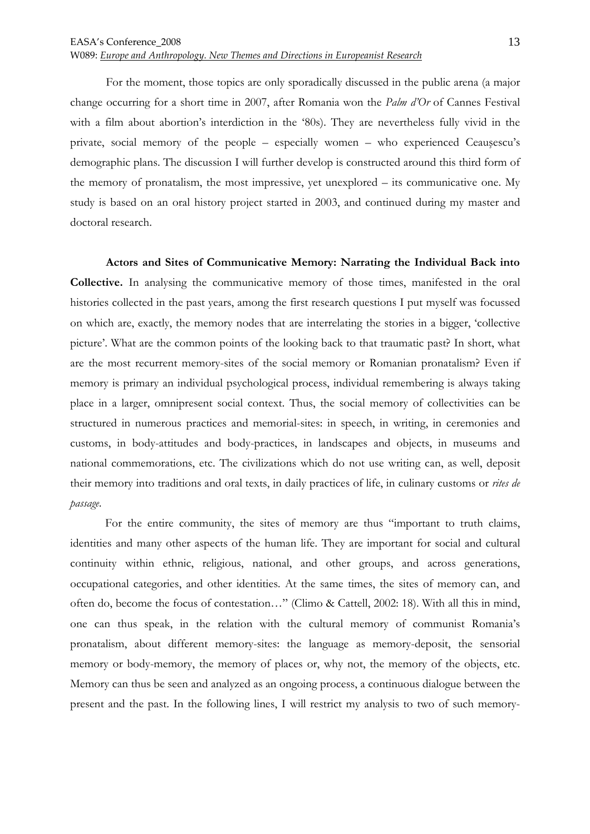For the moment, those topics are only sporadically discussed in the public arena (a major change occurring for a short time in 2007, after Romania won the *Palm d'Or* of Cannes Festival with a film about abortion's interdiction in the '80s). They are nevertheless fully vivid in the private, social memory of the people – especially women – who experienced Ceauşescu's demographic plans. The discussion I will further develop is constructed around this third form of the memory of pronatalism, the most impressive, yet unexplored – its communicative one. My study is based on an oral history project started in 2003, and continued during my master and doctoral research.

**Actors and Sites of Communicative Memory: Narrating the Individual Back into Collective.** In analysing the communicative memory of those times, manifested in the oral histories collected in the past years, among the first research questions I put myself was focussed on which are, exactly, the memory nodes that are interrelating the stories in a bigger, 'collective picture'. What are the common points of the looking back to that traumatic past? In short, what are the most recurrent memory-sites of the social memory or Romanian pronatalism? Even if memory is primary an individual psychological process, individual remembering is always taking place in a larger, omnipresent social context. Thus, the social memory of collectivities can be structured in numerous practices and memorial-sites: in speech, in writing, in ceremonies and customs, in body-attitudes and body-practices, in landscapes and objects, in museums and national commemorations, etc. The civilizations which do not use writing can, as well, deposit their memory into traditions and oral texts, in daily practices of life, in culinary customs or *rites de passage*.

 For the entire community, the sites of memory are thus "important to truth claims, identities and many other aspects of the human life. They are important for social and cultural continuity within ethnic, religious, national, and other groups, and across generations, occupational categories, and other identities. At the same times, the sites of memory can, and often do, become the focus of contestation…" (Climo & Cattell, 2002: 18). With all this in mind, one can thus speak, in the relation with the cultural memory of communist Romania's pronatalism, about different memory-sites: the language as memory-deposit, the sensorial memory or body-memory, the memory of places or, why not, the memory of the objects, etc. Memory can thus be seen and analyzed as an ongoing process, a continuous dialogue between the present and the past. In the following lines, I will restrict my analysis to two of such memory-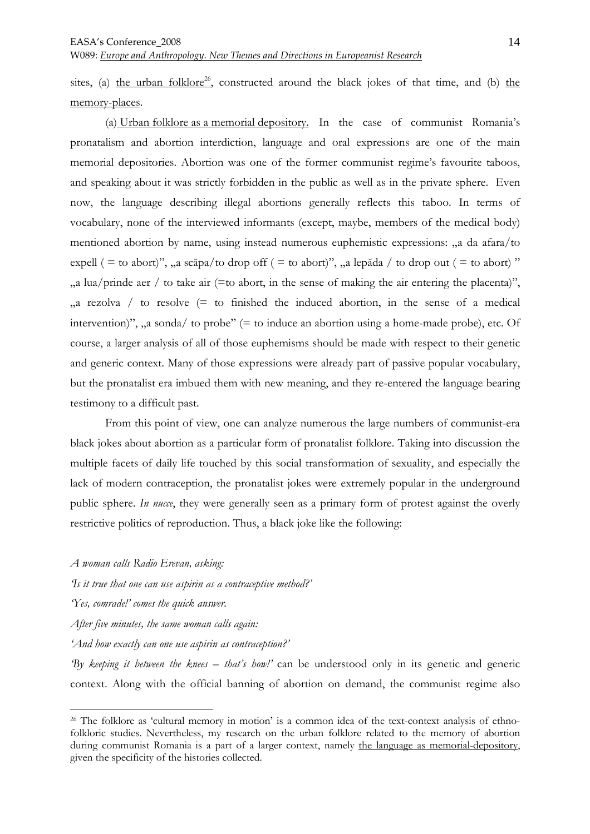sites, (a) the urban folklore<sup>26</sup>, constructed around the black jokes of that time, and (b) the memory-places.

 (a) Urban folklore as a memorial depository. In the case of communist Romania's pronatalism and abortion interdiction, language and oral expressions are one of the main memorial depositories. Abortion was one of the former communist regime's favourite taboos, and speaking about it was strictly forbidden in the public as well as in the private sphere. Even now, the language describing illegal abortions generally reflects this taboo. In terms of vocabulary, none of the interviewed informants (except, maybe, members of the medical body) mentioned abortion by name, using instead numerous euphemistic expressions: "a da afara/to expell ( = to abort)", "a scăpa/to drop off ( = to abort)", "a lepăda / to drop out ( = to abort) "  $\alpha$ , a lua/prinde aer / to take air (=to abort, in the sense of making the air entering the placenta)",  $\alpha$  rezolva / to resolve  $(=$  to finished the induced abortion, in the sense of a medical intervention)",  $\alpha$  sonda/ to probe" (= to induce an abortion using a home-made probe), etc. Of course, a larger analysis of all of those euphemisms should be made with respect to their genetic and generic context. Many of those expressions were already part of passive popular vocabulary, but the pronatalist era imbued them with new meaning, and they re-entered the language bearing testimony to a difficult past.

 From this point of view, one can analyze numerous the large numbers of communist-era black jokes about abortion as a particular form of pronatalist folklore. Taking into discussion the multiple facets of daily life touched by this social transformation of sexuality, and especially the lack of modern contraception, the pronatalist jokes were extremely popular in the underground public sphere. *In nucce*, they were generally seen as a primary form of protest against the overly restrictive politics of reproduction. Thus, a black joke like the following:

*A woman calls Radio Erevan, asking:* 

*'Is it true that one can use aspirin as a contraceptive method?'* 

*'Yes, comrade!' comes the quick answer.* 

 $\overline{a}$ 

*After five minutes, the same woman calls again:* 

*'And how exactly can one use aspirin as contraception?'* 

*'By keeping it between the knees – that's how!'* can be understood only in its genetic and generic context. Along with the official banning of abortion on demand, the communist regime also

<sup>26</sup> The folklore as 'cultural memory in motion' is a common idea of the text-context analysis of ethnofolkloric studies. Nevertheless, my research on the urban folklore related to the memory of abortion during communist Romania is a part of a larger context, namely the language as memorial-depository, given the specificity of the histories collected.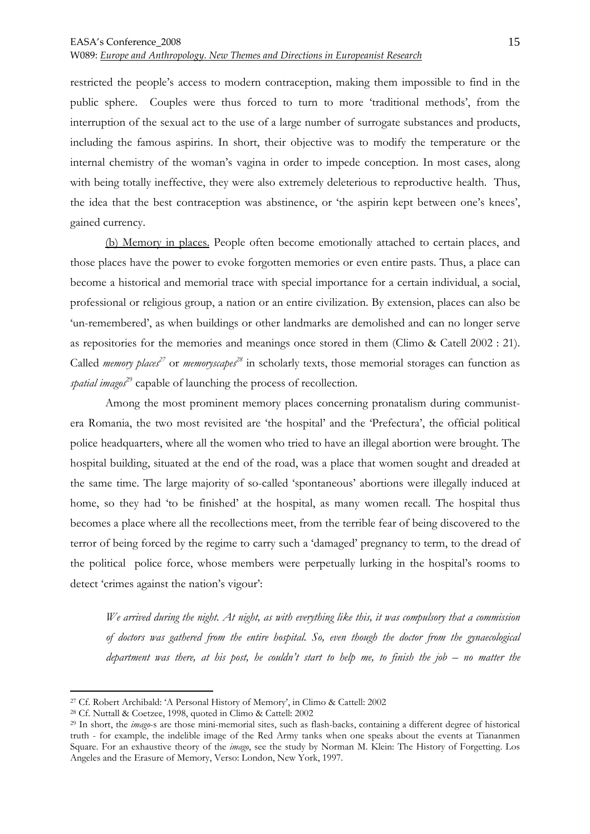W089: *Europe and Anthropology. New Themes and Directions in Europeanist Research*

restricted the people's access to modern contraception, making them impossible to find in the public sphere. Couples were thus forced to turn to more 'traditional methods', from the interruption of the sexual act to the use of a large number of surrogate substances and products, including the famous aspirins. In short, their objective was to modify the temperature or the internal chemistry of the woman's vagina in order to impede conception. In most cases, along with being totally ineffective, they were also extremely deleterious to reproductive health. Thus, the idea that the best contraception was abstinence, or 'the aspirin kept between one's knees', gained currency.

(b) Memory in places. People often become emotionally attached to certain places, and those places have the power to evoke forgotten memories or even entire pasts. Thus, a place can become a historical and memorial trace with special importance for a certain individual, a social, professional or religious group, a nation or an entire civilization. By extension, places can also be 'un-remembered', as when buildings or other landmarks are demolished and can no longer serve as repositories for the memories and meanings once stored in them (Climo & Catell 2002 : 21). Called *memory places<sup>27</sup>* or *memoryscapes<sup>28</sup>* in scholarly texts, those memorial storages can function as *spatial imagos*<sup>29</sup> capable of launching the process of recollection.

 Among the most prominent memory places concerning pronatalism during communistera Romania, the two most revisited are 'the hospital' and the 'Prefectura', the official political police headquarters, where all the women who tried to have an illegal abortion were brought. The hospital building, situated at the end of the road, was a place that women sought and dreaded at the same time. The large majority of so-called 'spontaneous' abortions were illegally induced at home, so they had 'to be finished' at the hospital, as many women recall. The hospital thus becomes a place where all the recollections meet, from the terrible fear of being discovered to the terror of being forced by the regime to carry such a 'damaged' pregnancy to term, to the dread of the political police force, whose members were perpetually lurking in the hospital's rooms to detect 'crimes against the nation's vigour':

*We arrived during the night. At night, as with everything like this, it was compulsory that a commission of doctors was gathered from the entire hospital. So, even though the doctor from the gynaecological department was there, at his post, he couldn't start to help me, to finish the job – no matter the* 

<sup>27</sup> Cf. Robert Archibald: 'A Personal History of Memory', in Climo & Cattell: 2002

<sup>28</sup> Cf. Nuttall & Coetzee, 1998, quoted in Climo & Cattell: 2002

<sup>29</sup> In short, the *imago*-s are those mini-memorial sites, such as flash-backs, containing a different degree of historical truth - for example, the indelible image of the Red Army tanks when one speaks about the events at Tiananmen Square. For an exhaustive theory of the *imago*, see the study by Norman M. Klein: The History of Forgetting. Los Angeles and the Erasure of Memory, Verso: London, New York, 1997.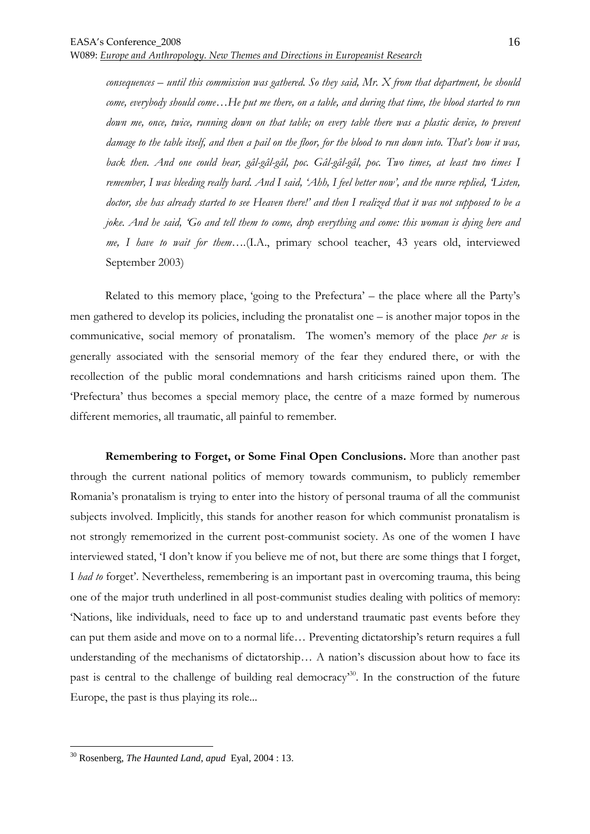*consequences – until this commission was gathered. So they said, Mr. X from that department, he should come, everybody should come…He put me there, on a table, and during that time, the blood started to run down me, once, twice, running down on that table; on every table there was a plastic device, to prevent damage to the table itself, and then a pail on the floor, for the blood to run down into. That's how it was, back then. And one could hear, gâl-gâl-gâl, poc. Gâl-gâl-gâl, poc. Two times, at least two times I remember, I was bleeding really hard. And I said, 'Ahh, I feel better now', and the nurse replied, 'Listen, doctor, she has already started to see Heaven there!' and then I realized that it was not supposed to be a joke. And he said, 'Go and tell them to come, drop everything and come: this woman is dying here and me, I have to wait for them….*(I.A., primary school teacher, 43 years old, interviewed September 2003)

 Related to this memory place, 'going to the Prefectura' – the place where all the Party's men gathered to develop its policies, including the pronatalist one – is another major topos in the communicative, social memory of pronatalism. The women's memory of the place *per se* is generally associated with the sensorial memory of the fear they endured there, or with the recollection of the public moral condemnations and harsh criticisms rained upon them. The 'Prefectura' thus becomes a special memory place, the centre of a maze formed by numerous different memories, all traumatic, all painful to remember.

**Remembering to Forget, or Some Final Open Conclusions.** More than another past through the current national politics of memory towards communism, to publicly remember Romania's pronatalism is trying to enter into the history of personal trauma of all the communist subjects involved. Implicitly, this stands for another reason for which communist pronatalism is not strongly rememorized in the current post-communist society. As one of the women I have interviewed stated, 'I don't know if you believe me of not, but there are some things that I forget, I *had to* forget'. Nevertheless, remembering is an important past in overcoming trauma, this being one of the major truth underlined in all post-communist studies dealing with politics of memory: 'Nations, like individuals, need to face up to and understand traumatic past events before they can put them aside and move on to a normal life… Preventing dictatorship's return requires a full understanding of the mechanisms of dictatorship… A nation's discussion about how to face its past is central to the challenge of building real democracy<sup>30</sup>. In the construction of the future Europe, the past is thus playing its role...

<sup>30</sup> Rosenberg, *The Haunted Land*, *apud* Eyal, 2004 : 13.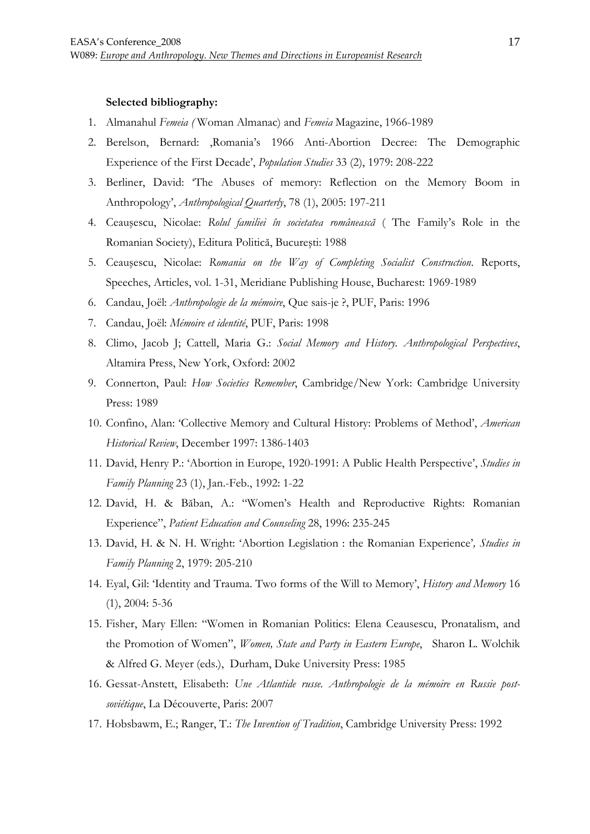#### **Selected bibliography:**

- 1. Almanahul *Femeia (* Woman Almanac) and *Femeia* Magazine, 1966-1989
- 2. Berelson, Bernard: 'Romania's 1966 Anti-Abortion Decree: The Demographic Experience of the First Decade', *Population Studies* 33 (2), 1979: 208-222
- 3. Berliner, David: 'The Abuses of memory: Reflection on the Memory Boom in Anthropology', *Anthropological Quarterly*, 78 (1), 2005: 197-211
- 4. Ceauşescu, Nicolae: *Rolul familiei în societatea românească* ( The Family's Role in the Romanian Society), Editura Politică, Bucureşti: 1988
- 5. Ceauşescu, Nicolae: *Romania on the Way of Completing Socialist Construction*. Reports, Speeches, Articles, vol. 1-31, Meridiane Publishing House, Bucharest: 1969-1989
- 6. Candau, Joël: *Anthropologie de la mémoire*, Que sais-je ?, PUF, Paris: 1996
- 7. Candau, Joël: *Mémoire et identité*, PUF, Paris: 1998
- 8. Climo, Jacob J; Cattell, Maria G.: *Social Memory and History. Anthropological Perspectives*, Altamira Press, New York, Oxford: 2002
- 9. Connerton, Paul: *How Societies Remember*, Cambridge/New York: Cambridge University Press: 1989
- 10. Confino, Alan: 'Collective Memory and Cultural History: Problems of Method', *American Historical Review*, December 1997: 1386-1403
- 11. David, Henry P.: 'Abortion in Europe, 1920-1991: A Public Health Perspective', *Studies in Family Planning* 23 (1), Jan.-Feb., 1992: 1-22
- 12. David, H. & Băban, A.: "Women's Health and Reproductive Rights: Romanian Experience", *Patient Education and Counseling* 28, 1996: 235-245
- 13. David, H. & N. H. Wright: 'Abortion Legislation : the Romanian Experience'*, Studies in Family Planning* 2, 1979: 205-210
- 14. Eyal, Gil: 'Identity and Trauma. Two forms of the Will to Memory', *History and Memory* 16 (1), 2004: 5-36
- 15. Fisher, Mary Ellen: "Women in Romanian Politics: Elena Ceausescu, Pronatalism, and the Promotion of Women", *Women, State and Party in Eastern Europe*, Sharon L. Wolchik & Alfred G. Meyer (eds.), Durham, Duke University Press: 1985
- 16. Gessat-Anstett, Elisabeth: *Une Atlantide russe. Anthropologie de la mémoire en Russie postsoviétique*, La Découverte, Paris: 2007
- 17. Hobsbawm, E.; Ranger, T.: *The Invention of Tradition*, Cambridge University Press: 1992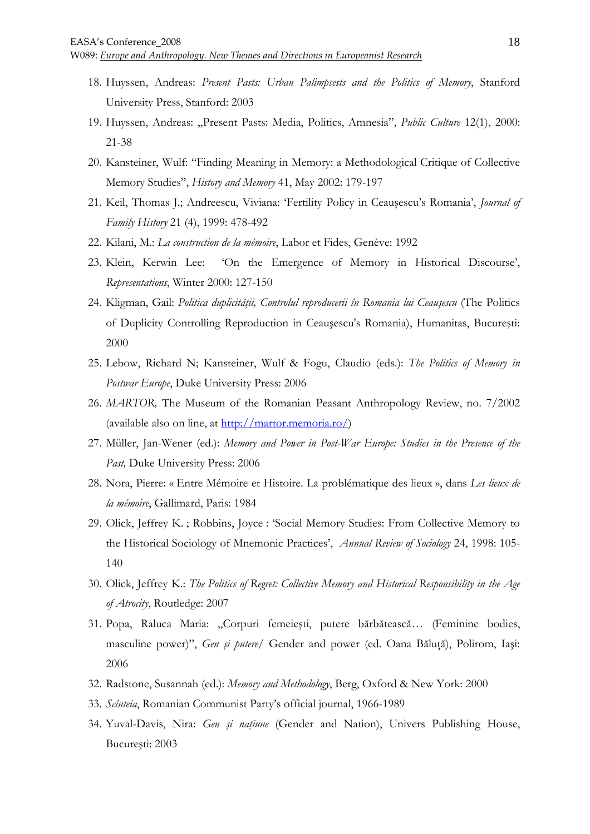- 18. Huyssen, Andreas: *Present Pasts: Urban Palimpsests and the Politics of Memory*, Stanford University Press, Stanford: 2003
- 19. Huyssen, Andreas: "Present Pasts: Media, Politics, Amnesia", *Public Culture* 12(1), 2000: 21-38
- 20. Kansteiner, Wulf: "Finding Meaning in Memory: a Methodological Critique of Collective Memory Studies", *History and Memory* 41, May 2002: 179-197
- 21. Keil, Thomas J.; Andreescu, Viviana: 'Fertility Policy in Ceauşescu's Romania', *Journal of Family History* 21 (4), 1999: 478-492
- 22. Kilani, M.: *La construction de la mémoire*, Labor et Fides, Genève: 1992
- 23. Klein, Kerwin Lee: 'On the Emergence of Memory in Historical Discourse', *Representations*, Winter 2000: 127-150
- 24. Kligman, Gail: *Politica duplicității, Controlul reproducerii în Romania lui Ceausescu* (The Politics of Duplicity Controlling Reproduction in Ceauşescu's Romania), Humanitas, Bucureşti: 2000
- 25. Lebow, Richard N; Kansteiner, Wulf & Fogu, Claudio (eds.): *The Politics of Memory in Postwar Europe*, Duke University Press: 2006
- 26. *MARTOR,* The Museum of the Romanian Peasant Anthropology Review, no. 7/2002 (available also on line, at  $\frac{http://martor.memonia.ro/)}$
- 27. Müller, Jan-Wener (ed.): *Memory and Power in Post-War Europe: Studies in the Presence of the Past,* Duke University Press: 2006
- 28. Nora, Pierre: « Entre Mémoire et Histoire. La problématique des lieux », dans *Les lieux de la mémoire*, Gallimard, Paris: 1984
- 29. Olick, Jeffrey K. ; Robbins, Joyce : 'Social Memory Studies: From Collective Memory to the Historical Sociology of Mnemonic Practices', *Annual Review of Sociology* 24, 1998: 105- 140
- 30. Olick, Jeffrey K.: *The Politics of Regret: Collective Memory and Historical Responsibility in the Age of Atrocity*, Routledge: 2007
- 31. Popa, Raluca Maria: "Corpuri femeiești, putere bărbătească... (Feminine bodies, masculine power)", *Gen și putere*/ Gender and power (ed. Oana Băluță), Polirom, Iași: 2006
- 32. Radstone, Susannah (ed.): *Memory and Methodology*, Berg, Oxford & New York: 2000
- 33. *Scînteia*, Romanian Communist Party's official journal, 1966-1989
- 34. Yuval-Davis, Nira: *Gen și națiune* (Gender and Nation), Univers Publishing House, Bucureşti: 2003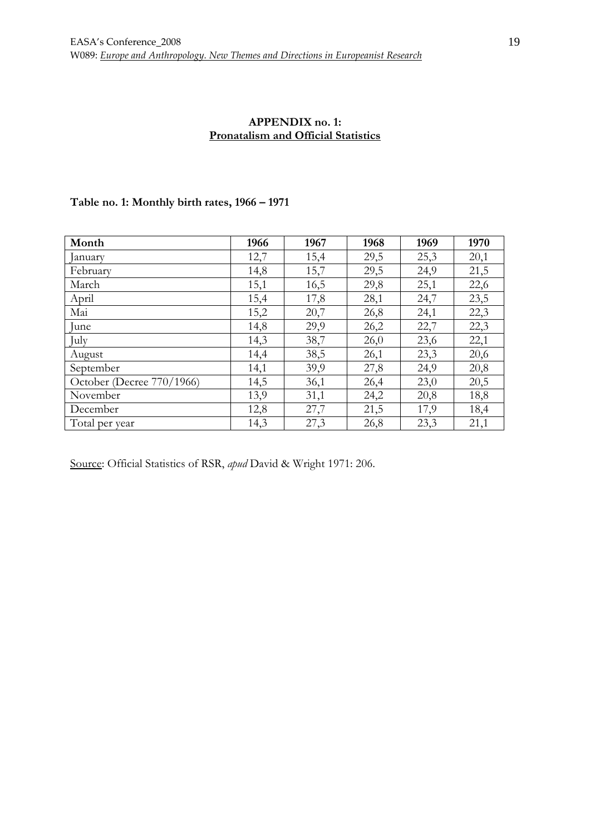### **APPENDIX no. 1: Pronatalism and Official Statistics**

## **Table no. 1: Monthly birth rates, 1966 – 1971**

| Month                     | 1966 | 1967 | 1968 | 1969 | 1970 |
|---------------------------|------|------|------|------|------|
| January                   | 12,7 | 15,4 | 29,5 | 25,3 | 20,1 |
| February                  | 14,8 | 15,7 | 29,5 | 24,9 | 21,5 |
| March                     | 15,1 | 16,5 | 29,8 | 25,1 | 22,6 |
| April                     | 15,4 | 17,8 | 28,1 | 24,7 | 23,5 |
| Mai                       | 15,2 | 20,7 | 26,8 | 24,1 | 22,3 |
| June                      | 14,8 | 29,9 | 26,2 | 22,7 | 22,3 |
| July                      | 14,3 | 38,7 | 26,0 | 23,6 | 22,1 |
| August                    | 14,4 | 38,5 | 26,1 | 23,3 | 20,6 |
| September                 | 14,1 | 39,9 | 27,8 | 24,9 | 20,8 |
| October (Decree 770/1966) | 14,5 | 36,1 | 26,4 | 23,0 | 20,5 |
| November                  | 13,9 | 31,1 | 24,2 | 20,8 | 18,8 |
| December                  | 12,8 | 27,7 | 21,5 | 17,9 | 18,4 |
| Total per year            | 14,3 | 27,3 | 26,8 | 23,3 | 21,1 |

Source: Official Statistics of RSR, *apud* David & Wright 1971: 206.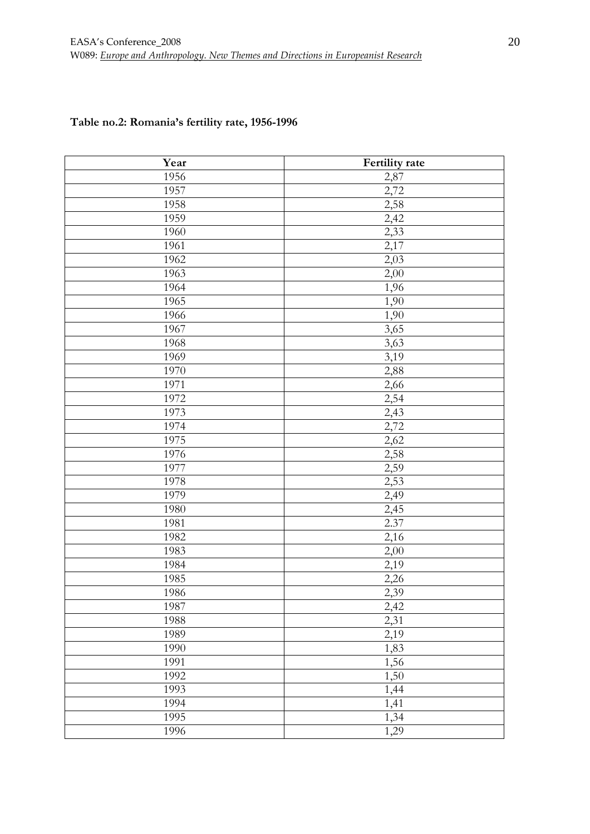|  | Table no.2: Romania's fertility rate, 1956-1996 |  |
|--|-------------------------------------------------|--|
|  |                                                 |  |

| Year | Fertility rate |
|------|----------------|
| 1956 | 2,87           |
| 1957 | 2,72           |
| 1958 | 2,58           |
| 1959 | 2,42           |
| 1960 | 2,33           |
| 1961 | 2,17           |
| 1962 | 2,03           |
| 1963 | 2,00           |
| 1964 | 1,96           |
| 1965 | 1,90           |
| 1966 | 1,90           |
| 1967 | 3,65           |
| 1968 | 3,63           |
| 1969 | 3,19           |
| 1970 | 2,88           |
| 1971 | 2,66           |
| 1972 | 2,54           |
| 1973 | 2,43           |
| 1974 | 2,72           |
| 1975 | 2,62           |
| 1976 | 2,58           |
| 1977 | 2,59           |
| 1978 | 2,53           |
| 1979 | 2,49           |
| 1980 | 2,45           |
| 1981 | 2.37           |
| 1982 | 2,16           |
| 1983 | 2,00           |
| 1984 | 2,19           |
| 1985 | 2,26           |
| 1986 | 2,39           |
| 1987 | 2,42           |
| 1988 | 2,31           |
| 1989 | 2,19           |
| 1990 | 1,83           |
| 1991 | 1,56           |
| 1992 | 1,50           |
| 1993 | 1,44           |
| 1994 | 1,41           |
| 1995 | 1,34           |
| 1996 | 1,29           |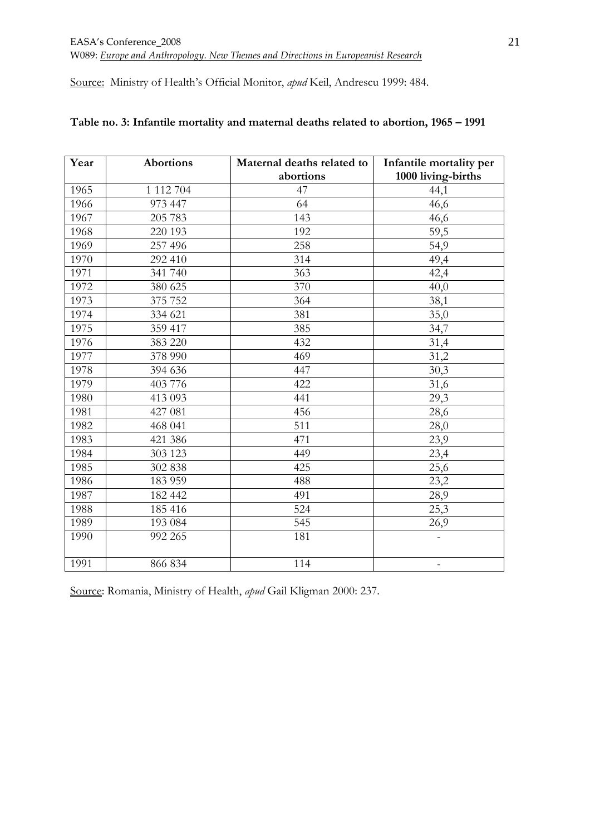Source: Ministry of Health's Official Monitor, *apud* Keil, Andrescu 1999: 484.

| Year | <b>Abortions</b> | Maternal deaths related to | Infantile mortality per  |
|------|------------------|----------------------------|--------------------------|
|      |                  | abortions                  | 1000 living-births       |
| 1965 | 1 112 704        | 47                         | 44,1                     |
| 1966 | 973 447          | 64                         | 46,6                     |
| 1967 | 205 783          | 143                        | 46,6                     |
| 1968 | 220 193          | 192                        | 59,5                     |
| 1969 | 257 496          | 258                        | 54,9                     |
| 1970 | 292 410          | 314                        | 49,4                     |
| 1971 | 341 740          | 363                        | 42,4                     |
| 1972 | 380 625          | 370                        | 40,0                     |
| 1973 | 375 752          | 364                        | 38,1                     |
| 1974 | 334 621          | 381                        | 35,0                     |
| 1975 | 359 417          | 385                        | 34,7                     |
| 1976 | 383 220          | 432                        | 31,4                     |
| 1977 | 378 990          | 469                        | 31,2                     |
| 1978 | 394 636          | 447                        | 30,3                     |
| 1979 | 403 776          | 422                        | 31,6                     |
| 1980 | 413 093          | 441                        | 29,3                     |
| 1981 | 427 081          | 456                        | 28,6                     |
| 1982 | 468 041          | 511                        | 28,0                     |
| 1983 | 421 386          | 471                        | 23,9                     |
| 1984 | 303 123          | 449                        | 23,4                     |
| 1985 | 302 838          | 425                        | 25,6                     |
| 1986 | 183 959          | 488                        | 23,2                     |
| 1987 | 182 442          | 491                        | 28,9                     |
| 1988 | 185 416          | 524                        | 25,3                     |
| 1989 | 193 084          | 545                        | 26,9                     |
| 1990 | 992 265          | 181                        |                          |
| 1991 | 866 834          | 114                        | $\overline{\phantom{0}}$ |

## **Table no. 3: Infantile mortality and maternal deaths related to abortion, 1965 – 1991**

Source: Romania, Ministry of Health, *apud* Gail Kligman 2000: 237.